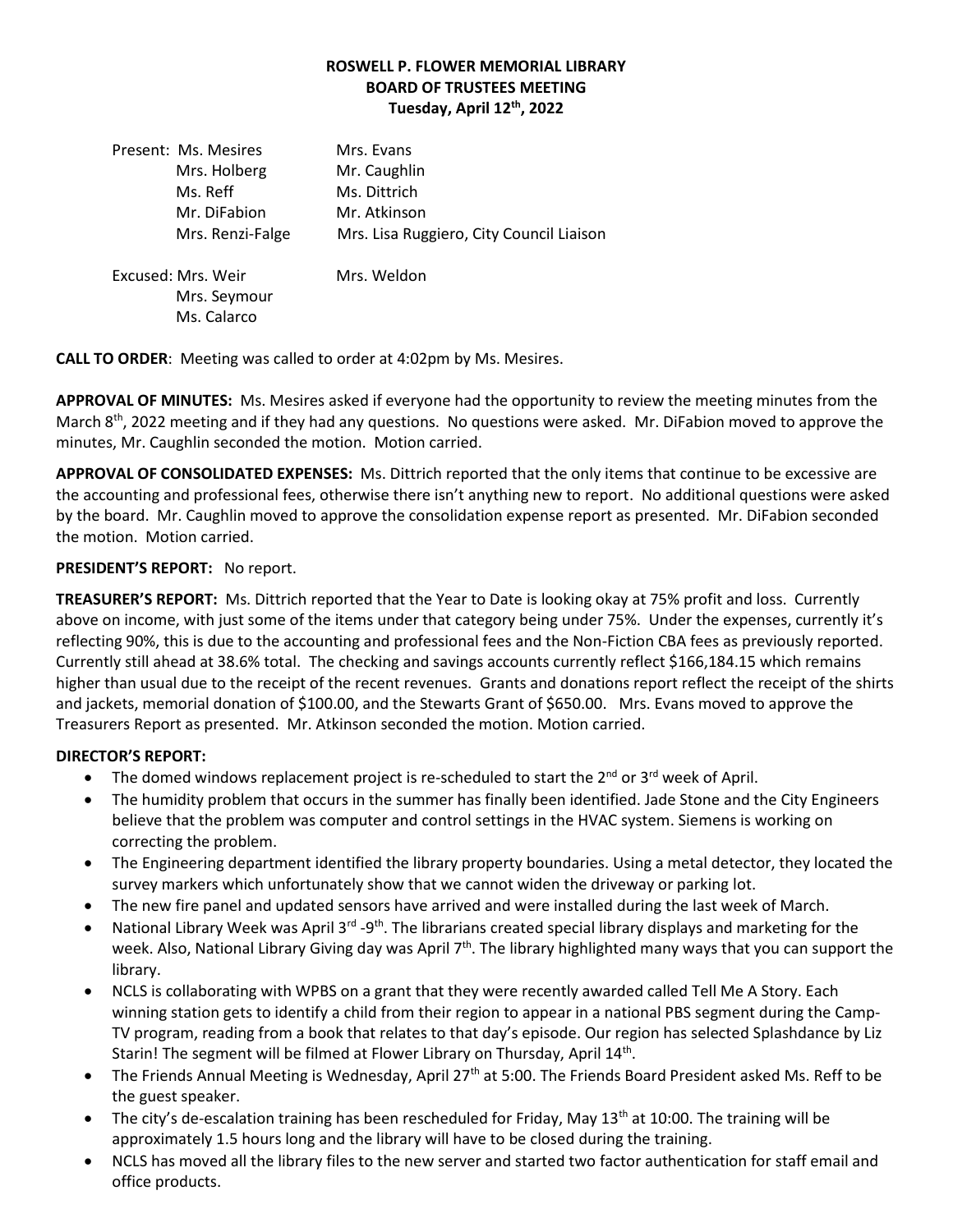## **ROSWELL P. FLOWER MEMORIAL LIBRARY BOARD OF TRUSTEES MEETING Tuesday, April 12th, 2022**

| Present: Ms. Mesires<br>Mrs. Holberg<br>Ms. Reff<br>Mr. DiFabion<br>Mrs. Renzi-Falge | Mrs. Evans<br>Mr. Caughlin<br>Ms. Dittrich<br>Mr. Atkinson<br>Mrs. Lisa Ruggiero, City Council Liaison |
|--------------------------------------------------------------------------------------|--------------------------------------------------------------------------------------------------------|
| Excused: Mrs. Weir<br>Mrs. Seymour<br>Ms. Calarco                                    | Mrs. Weldon                                                                                            |

**CALL TO ORDER**: Meeting was called to order at 4:02pm by Ms. Mesires.

**APPROVAL OF MINUTES:** Ms. Mesires asked if everyone had the opportunity to review the meeting minutes from the March  $8<sup>th</sup>$ , 2022 meeting and if they had any questions. No questions were asked. Mr. DiFabion moved to approve the minutes, Mr. Caughlin seconded the motion. Motion carried.

**APPROVAL OF CONSOLIDATED EXPENSES:** Ms. Dittrich reported that the only items that continue to be excessive are the accounting and professional fees, otherwise there isn't anything new to report. No additional questions were asked by the board. Mr. Caughlin moved to approve the consolidation expense report as presented. Mr. DiFabion seconded the motion. Motion carried.

### **PRESIDENT'S REPORT:** No report.

**TREASURER'S REPORT:** Ms. Dittrich reported that the Year to Date is looking okay at 75% profit and loss. Currently above on income, with just some of the items under that category being under 75%. Under the expenses, currently it's reflecting 90%, this is due to the accounting and professional fees and the Non-Fiction CBA fees as previously reported. Currently still ahead at 38.6% total. The checking and savings accounts currently reflect \$166,184.15 which remains higher than usual due to the receipt of the recent revenues. Grants and donations report reflect the receipt of the shirts and jackets, memorial donation of \$100.00, and the Stewarts Grant of \$650.00. Mrs. Evans moved to approve the Treasurers Report as presented. Mr. Atkinson seconded the motion. Motion carried.

# **DIRECTOR'S REPORT:**

- The domed windows replacement project is re-scheduled to start the  $2^{nd}$  or  $3^{rd}$  week of April.
- The humidity problem that occurs in the summer has finally been identified. Jade Stone and the City Engineers believe that the problem was computer and control settings in the HVAC system. Siemens is working on correcting the problem.
- The Engineering department identified the library property boundaries. Using a metal detector, they located the survey markers which unfortunately show that we cannot widen the driveway or parking lot.
- The new fire panel and updated sensors have arrived and were installed during the last week of March.
- National Library Week was April 3<sup>rd</sup> -9<sup>th</sup>. The librarians created special library displays and marketing for the week. Also, National Library Giving day was April 7<sup>th</sup>. The library highlighted many ways that you can support the library.
- NCLS is collaborating with WPBS on a grant that they were recently awarded called Tell Me A Story. Each winning station gets to identify a child from their region to appear in a national PBS segment during the Camp-TV program, reading from a book that relates to that day's episode. Our region has selected Splashdance by Liz Starin! The segment will be filmed at Flower Library on Thursday, April 14<sup>th</sup>.
- The Friends Annual Meeting is Wednesday, April 27<sup>th</sup> at 5:00. The Friends Board President asked Ms. Reff to be the guest speaker.
- The city's de-escalation training has been rescheduled for Friday, May  $13<sup>th</sup>$  at 10:00. The training will be approximately 1.5 hours long and the library will have to be closed during the training.
- NCLS has moved all the library files to the new server and started two factor authentication for staff email and office products.